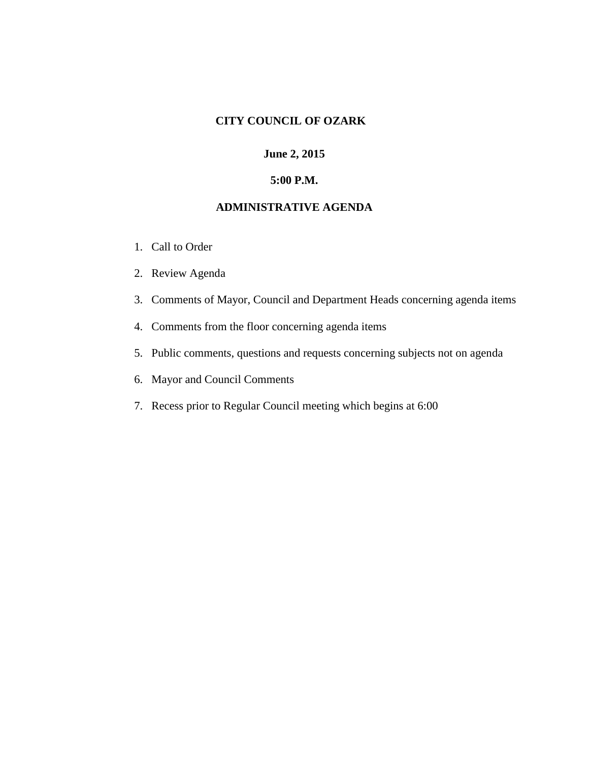## **CITY COUNCIL OF OZARK**

## **June 2, 2015**

# **5:00 P.M.**

# **ADMINISTRATIVE AGENDA**

- 1. Call to Order
- 2. Review Agenda
- 3. Comments of Mayor, Council and Department Heads concerning agenda items
- 4. Comments from the floor concerning agenda items
- 5. Public comments, questions and requests concerning subjects not on agenda
- 6. Mayor and Council Comments
- 7. Recess prior to Regular Council meeting which begins at 6:00